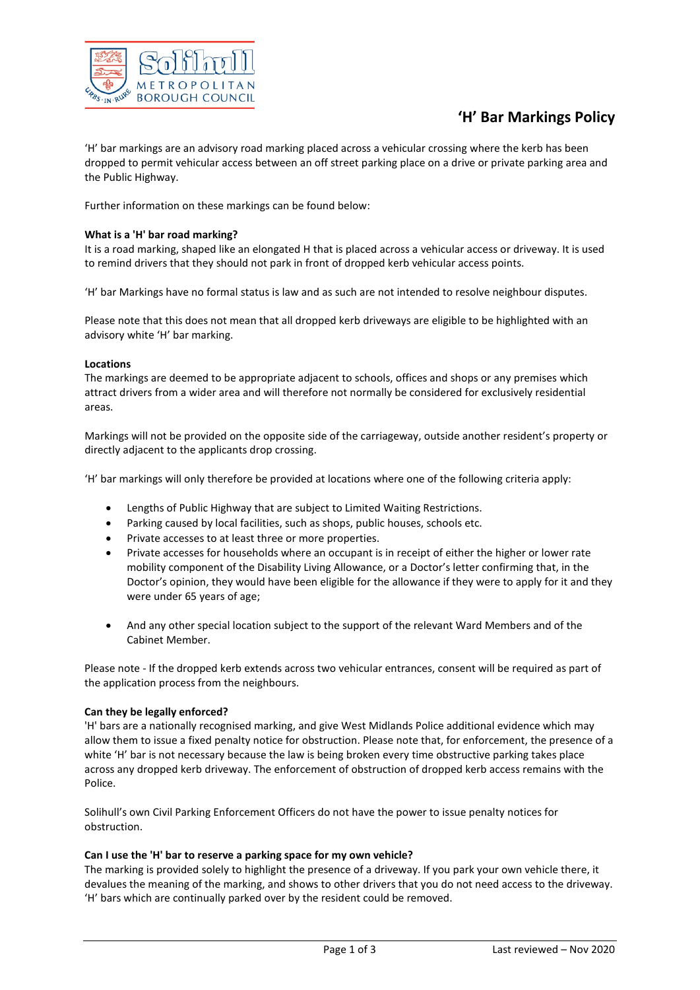

# **'H' Bar Markings Policy**

'H' bar markings are an advisory road marking placed across a vehicular crossing where the kerb has been dropped to permit vehicular access between an off street parking place on a drive or private parking area and the Public Highway.

Further information on these markings can be found below:

# **What is a 'H' bar road marking?**

It is a road marking, shaped like an elongated H that is placed across a vehicular access or driveway. It is used to remind drivers that they should not park in front of dropped kerb vehicular access points.

'H' bar Markings have no formal status is law and as such are not intended to resolve neighbour disputes.

Please note that this does not mean that all dropped kerb driveways are eligible to be highlighted with an advisory white 'H' bar marking.

# **Locations**

The markings are deemed to be appropriate adjacent to schools, offices and shops or any premises which attract drivers from a wider area and will therefore not normally be considered for exclusively residential areas.

Markings will not be provided on the opposite side of the carriageway, outside another resident's property or directly adjacent to the applicants drop crossing.

'H' bar markings will only therefore be provided at locations where one of the following criteria apply:

- Lengths of Public Highway that are subject to Limited Waiting Restrictions.
- Parking caused by local facilities, such as shops, public houses, schools etc.
- Private accesses to at least three or more properties.
- Private accesses for households where an occupant is in receipt of either the higher or lower rate mobility component of the Disability Living Allowance, or a Doctor's letter confirming that, in the Doctor's opinion, they would have been eligible for the allowance if they were to apply for it and they were under 65 years of age;
- And any other special location subject to the support of the relevant Ward Members and of the Cabinet Member.

Please note - If the dropped kerb extends across two vehicular entrances, consent will be required as part of the application process from the neighbours.

# **Can they be legally enforced?**

'H' bars are a nationally recognised marking, and give West Midlands Police additional evidence which may allow them to issue a fixed penalty notice for obstruction. Please note that, for enforcement, the presence of a white 'H' bar is not necessary because the law is being broken every time obstructive parking takes place across any dropped kerb driveway. The enforcement of obstruction of dropped kerb access remains with the Police.

Solihull's own Civil Parking Enforcement Officers do not have the power to issue penalty notices for obstruction.

# **Can I use the 'H' bar to reserve a parking space for my own vehicle?**

The marking is provided solely to highlight the presence of a driveway. If you park your own vehicle there, it devalues the meaning of the marking, and shows to other drivers that you do not need access to the driveway. 'H' bars which are continually parked over by the resident could be removed.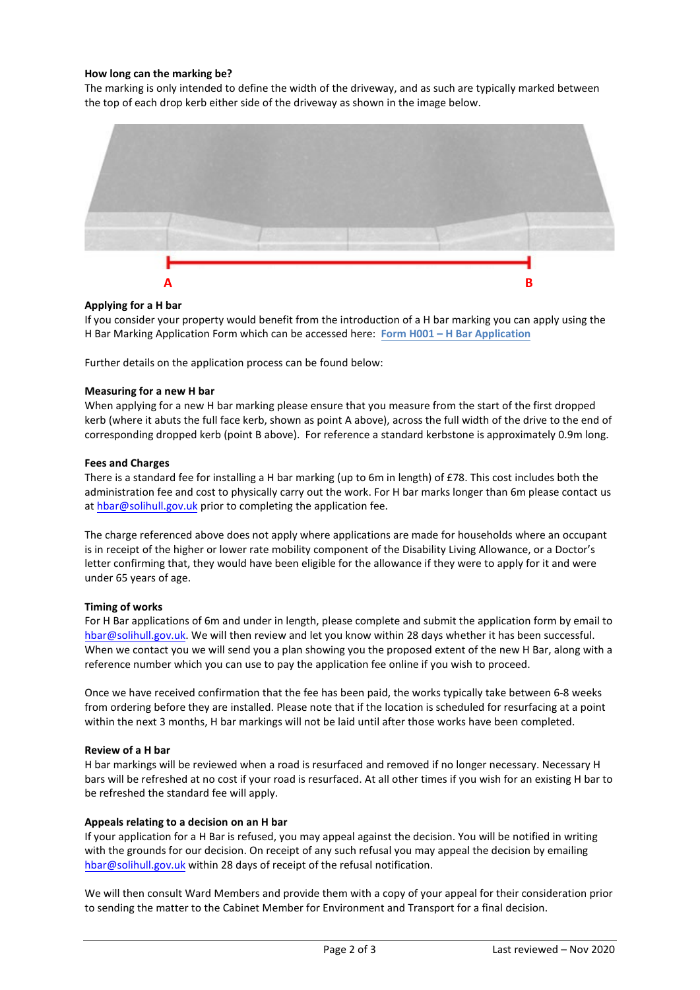# **How long can the marking be?**

The marking is only intended to define the width of the driveway, and as such are typically marked between the top of each drop kerb either side of the driveway as shown in the image below.



# **Applying for a H bar**

If you consider your property would benefit from the introduction of a H bar marking you can apply using the H Bar Marking Application Form which can be accessed here: **[Form H001 – H Bar Application](https://www.solihull.gov.uk/sites/default/files/2021-02/H-Markings-Application-Form.pdf)**

Further details on the application process can be found below:

#### **Measuring for a new H bar**

When applying for a new H bar marking please ensure that you measure from the start of the first dropped kerb (where it abuts the full face kerb, shown as point A above), across the full width of the drive to the end of corresponding dropped kerb (point B above). For reference a standard kerbstone is approximately 0.9m long.

### **Fees and Charges**

There is a standard fee for installing a H bar marking (up to 6m in length) of £78. This cost includes both the administration fee and cost to physically carry out the work. For H bar marks longer than 6m please contact us a[t hbar@solihull.gov.uk](mailto:hbar@solihull.gov.uk) prior to completing the application fee.

The charge referenced above does not apply where applications are made for households where an occupant is in receipt of the higher or lower rate mobility component of the Disability Living Allowance, or a Doctor's letter confirming that, they would have been eligible for the allowance if they were to apply for it and were under 65 years of age.

#### **Timing of works**

For H Bar applications of 6m and under in length, please complete and submit the application form by email to [hbar@solihull.gov.uk.](mailto:hbar@solihull.gov.uk) We will then review and let you know within 28 days whether it has been successful. When we contact you we will send you a plan showing you the proposed extent of the new H Bar, along with a reference number which you can use to pay the application fee online if you wish to proceed.

Once we have received confirmation that the fee has been paid, the works typically take between 6-8 weeks from ordering before they are installed. Please note that if the location is scheduled for resurfacing at a point within the next 3 months, H bar markings will not be laid until after those works have been completed.

#### **Review of a H bar**

H bar markings will be reviewed when a road is resurfaced and removed if no longer necessary. Necessary H bars will be refreshed at no cost if your road is resurfaced. At all other times if you wish for an existing H bar to be refreshed the standard fee will apply.

#### **Appeals relating to a decision on an H bar**

If your application for a H Bar is refused, you may appeal against the decision. You will be notified in writing with the grounds for our decision. On receipt of any such refusal you may appeal the decision by emailing [hbar@solihull.gov.uk](mailto:hbar@solihull.gov.uk) within 28 days of receipt of the refusal notification.

We will then consult Ward Members and provide them with a copy of your appeal for their consideration prior to sending the matter to the Cabinet Member for Environment and Transport for a final decision.